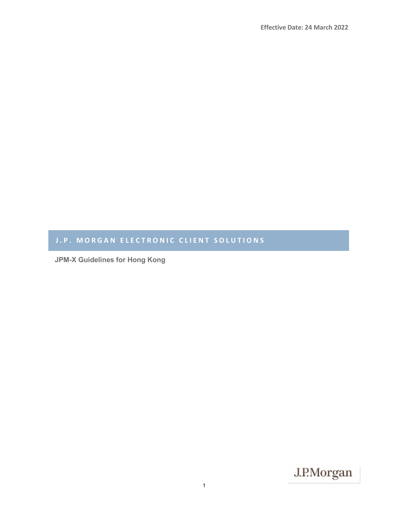# J.P. MORGAN ELECTRONIC CLIENT SOLUTIONS

**JPM-X Guidelines for Hong Kong**

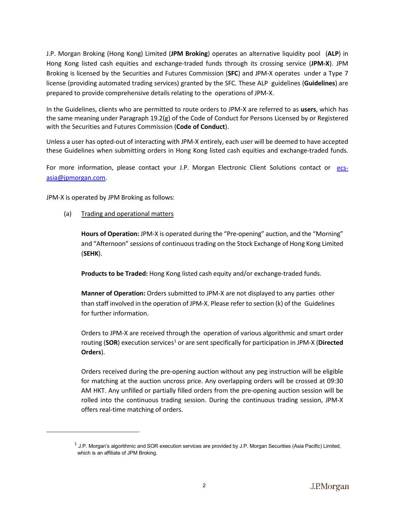J.P. Morgan Broking (Hong Kong) Limited (**JPM Broking**) operates an alternative liquidity pool (**ALP**) in Hong Kong listed cash equities and exchange-traded funds through its crossing service (**JPM-X**). JPM Broking is licensed by the Securities and Futures Commission (**SFC**) and JPM-X operates under a Type 7 license (providing automated trading services) granted by the SFC. These ALP guidelines (**Guidelines**) are prepared to provide comprehensive details relating to the operations of JPM-X.

In the Guidelines, clients who are permitted to route orders to JPM-X are referred to as **users**, which has the same meaning under Paragraph 19.2(g) of the Code of Conduct for Persons Licensed by or Registered with the Securities and Futures Commission (**Code of Conduct**).

Unless a user has opted-out of interacting with JPM-X entirely, each user will be deemed to have accepted these Guidelines when submitting orders in Hong Kong listed cash equities and exchange-traded funds.

For more information, please contact your J.P. Morgan Electronic Client Solutions contact or [ecs](mailto:ecs-asia@jpmorgan.com)[asia@jpmorgan.com.](mailto:ecs-asia@jpmorgan.com)

JPM-X is operated by JPM Broking as follows:

<span id="page-1-0"></span> $\overline{\phantom{a}}$ 

(a) Trading and operational matters

**Hours of Operation:** JPM-X is operated during the "Pre-opening" auction, and the "Morning" and "Afternoon" sessions of continuous trading on the Stock Exchange of Hong Kong Limited (**SEHK**).

**Products to be Traded:** Hong Kong listed cash equity and/or exchange-traded funds.

**Manner of Operation:** Orders submitted to JPM-X are not displayed to any parties other than staff involved in the operation of JPM-X. Please refer to section (k) of the Guidelines for further information.

Orders to JPM-X are received through the operation of various algorithmic and smart order routing (SOR) execution services<sup>[1](#page-1-0)</sup> or are sent specifically for participation in JPM-X (Directed **Orders**).

Orders received during the pre-opening auction without any peg instruction will be eligible for matching at the auction uncross price. Any overlapping orders will be crossed at 09:30 AM HKT. Any unfilled or partially filled orders from the pre-opening auction session will be rolled into the continuous trading session. During the continuous trading session, JPM-X offers real-time matching of orders.

 $1$  J.P. Morgan's algorithmic and SOR execution services are provided by J.P. Morgan Securities (Asia Pacific) Limited, which is an affiliate of JPM Broking.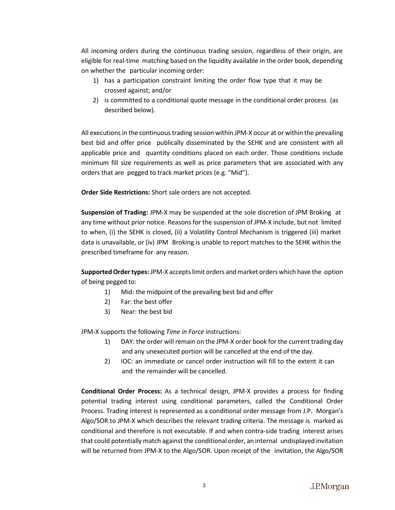All incoming orders during the continuous trading session, regardless of their origin, are eligible for real-time matching based on the liquidity available in the order book, depending on whether the particular incoming order:

- 1) has a participation constraint limiting the order flow type that it may be crossed against; and/or
- 2) is committed to a conditional quote message in the conditional order process (as described below).

All executions in the continuous trading session within JPM-X occur at or within the prevailing best bid and offer price publically disseminated by the SEHK and are consistent with all applicable price and quantity conditions placed on each order. Those conditions include minimum fill size requirements as well as price parameters that are associated with any orders that are pegged to track market prices (e.g. "Mid").

**Order Side Restrictions:** Short sale orders are not accepted.

**Suspension of Trading:** JPM-X may be suspended at the sole discretion of JPM Broking at any time without prior notice. Reasons for the suspension of JPM-X include, but not limited to when, (i) the SEHK is closed, (ii) a Volatility Control Mechanism is triggered (iii) market data is unavailable, or (iv) JPM Broking is unable to report matches to the SEHK within the prescribed timeframe for any reason.

**Supported Ordertypes:** JPM-X acceptslimit orders andmarket orders which have the option of being pegged to:

- 1) Mid: the midpoint of the prevailing best bid and offer
- 2) Far: the best offer
- 3) Near: the best bid

JPM-X supports the following *Time in Force* instructions:

- 1) DAY: the order will remain on the JPM-X order book for the current trading day and any unexecuted portion will be cancelled at the end of the day.
- 2) IOC: an immediate or cancel order instruction will fill to the extent it can and the remainder will be cancelled.

**Conditional Order Process:** As a technical design, JPM-X provides a process for finding potential trading interest using conditional parameters, called the Conditional Order Process. Trading interest is represented as a conditional order message from J.P. Morgan's Algo/SOR to JPM-X which describes the relevant trading criteria. The message is marked as conditional and therefore is not executable. If and when contra-side trading interest arises that could potentially match against the conditional order, an internal undisplayed invitation will be returned from JPM-X to the Algo/SOR. Upon receipt of the invitation, the Algo/SOR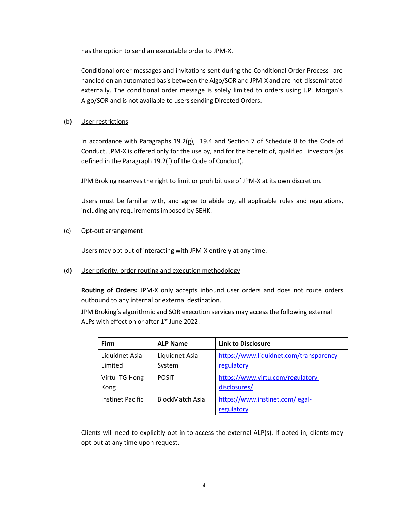has the option to send an executable order to JPM-X.

Conditional order messages and invitations sent during the Conditional Order Process are handled on an automated basis between the Algo/SOR and JPM-X and are not disseminated externally. The conditional order message is solely limited to orders using J.P. Morgan's Algo/SOR and is not available to users sending Directed Orders.

# (b) User restrictions

In accordance with Paragraphs 19.2(g), 19.4 and Section 7 of Schedule 8 to the Code of Conduct, JPM-X is offered only for the use by, and for the benefit of, qualified investors (as defined in the Paragraph 19.2(f) of the Code of Conduct).

JPM Broking reserves the right to limit or prohibit use of JPM-X at its own discretion.

Users must be familiar with, and agree to abide by, all applicable rules and regulations, including any requirements imposed by SEHK.

(c) Opt-out arrangement

Users may opt-out of interacting with JPM-X entirely at any time.

(d) User priority, order routing and execution methodology

**Routing of Orders:** JPM-X only accepts inbound user orders and does not route orders outbound to any internal or external destination.

JPM Broking's algorithmic and SOR execution services may access the following external ALPs with effect on or after  $1<sup>st</sup>$  June 2022.

| <b>Firm</b>               | <b>ALP Name</b>          | <b>Link to Disclosure</b>                             |
|---------------------------|--------------------------|-------------------------------------------------------|
| Liquidnet Asia<br>Limited | Liquidnet Asia<br>System | https://www.liquidnet.com/transparency-<br>regulatory |
| Virtu ITG Hong<br>Kong    | <b>POSIT</b>             | https://www.virtu.com/regulatory-<br>disclosures/     |
| <b>Instinet Pacific</b>   | <b>BlockMatch Asia</b>   | https://www.instinet.com/legal-<br>regulatory         |

Clients will need to explicitly opt-in to access the external ALP(s). If opted-in, clients may opt-out at any time upon request.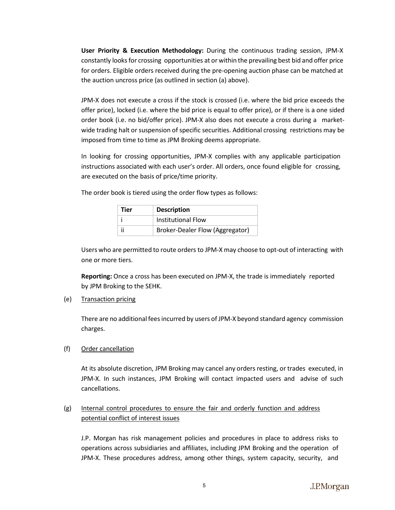**User Priority & Execution Methodology:** During the continuous trading session, JPM-X constantly looks for crossing opportunities at or within the prevailing best bid and offer price for orders. Eligible orders received during the pre-opening auction phase can be matched at the auction uncross price (as outlined in section (a) above).

JPM-X does not execute a cross if the stock is crossed (i.e. where the bid price exceeds the offer price), locked (i.e. where the bid price is equal to offer price), or if there is a one sided order book (i.e. no bid/offer price). JPM-X also does not execute a cross during a marketwide trading halt or suspension of specific securities. Additional crossing restrictions may be imposed from time to time as JPM Broking deems appropriate.

In looking for crossing opportunities, JPM-X complies with any applicable participation instructions associated with each user's order. All orders, once found eligible for crossing, are executed on the basis of price/time priority.

The order book is tiered using the order flow types as follows:

| Tier | <b>Description</b><br><b>Institutional Flow</b><br><b>Broker-Dealer Flow (Aggregator)</b> |  |
|------|-------------------------------------------------------------------------------------------|--|
|      |                                                                                           |  |
|      |                                                                                           |  |

Users who are permitted to route orders to JPM-X may choose to opt-out of interacting with one or more tiers.

**Reporting:** Once a cross has been executed on JPM-X, the trade is immediately reported by JPM Broking to the SEHK.

# (e) Transaction pricing

There are no additional feesincurred by users of JPM-X beyond standard agency commission charges.

# (f) Order cancellation

At its absolute discretion, JPM Broking may cancel any orders resting, or trades executed, in JPM-X. In such instances, JPM Broking will contact impacted users and advise of such cancellations.

# (g) Internal control procedures to ensure the fair and orderly function and address potential conflict of interest issues

J.P. Morgan has risk management policies and procedures in place to address risks to operations across subsidiaries and affiliates, including JPM Broking and the operation of JPM-X. These procedures address, among other things, system capacity, security, and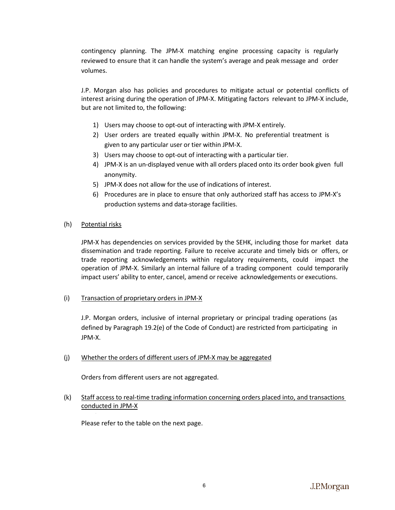contingency planning. The JPM-X matching engine processing capacity is regularly reviewed to ensure that it can handle the system's average and peak message and order volumes.

J.P. Morgan also has policies and procedures to mitigate actual or potential conflicts of interest arising during the operation of JPM-X. Mitigating factors relevant to JPM-X include, but are not limited to, the following:

- 1) Users may choose to opt-out of interacting with JPM-X entirely.
- 2) User orders are treated equally within JPM-X. No preferential treatment is given to any particular user or tier within JPM-X.
- 3) Users may choose to opt-out of interacting with a particular tier.
- 4) JPM-X is an un-displayed venue with all orders placed onto its order book given full anonymity.
- 5) JPM-X does not allow for the use of indications of interest.
- 6) Procedures are in place to ensure that only authorized staff has access to JPM-X's production systems and data-storage facilities.
- (h) Potential risks

JPM-X has dependencies on services provided by the SEHK, including those for market data dissemination and trade reporting. Failure to receive accurate and timely bids or offers, or trade reporting acknowledgements within regulatory requirements, could impact the operation of JPM-X. Similarly an internal failure of a trading component could temporarily impact users' ability to enter, cancel, amend or receive acknowledgements or executions.

# (i) Transaction of proprietary orders in JPM-X

J.P. Morgan orders, inclusive of internal proprietary or principal trading operations (as defined by Paragraph 19.2(e) of the Code of Conduct) are restricted from participating in JPM-X.

# (j) Whether the orders of different users of JPM-X may be aggregated

Orders from different users are not aggregated.

# (k) Staff access to real-time trading information concerning orders placed into, and transactions conducted in JPM-X

Please refer to the table on the next page.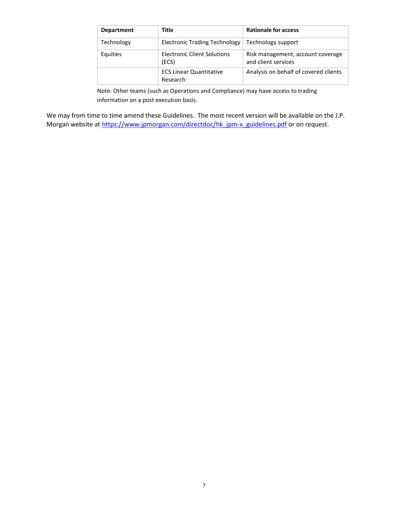| <b>Department</b> | Title                                      | <b>Rationale for access</b>                              |
|-------------------|--------------------------------------------|----------------------------------------------------------|
| Technology        | <b>Electronic Trading Technology</b>       | Technology support                                       |
| Equities          | Electronic Client Solutions<br>(ECS)       | Risk management, account coverage<br>and client services |
|                   | <b>ECS Linear Quantitative</b><br>Research | Analysis on behalf of covered clients                    |

Note: Other teams (such as Operations and Compliance) may have access to trading information on a post execution basis.

We may from time to time amend these Guidelines. The most recent version will be available on the J.P. Morgan website at [https://www.jpmorgan.com/directdoc/hk\\_jpm-x\\_guidelines.pdf](https://www.jpmorgan.com/directdoc/hk_jpm-x_guidelines.pdf) or on request.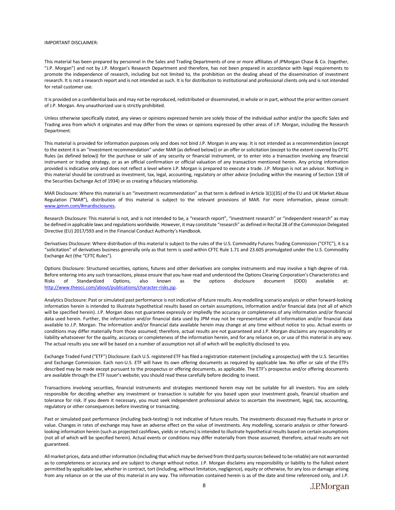#### IMPORTANT DISCLAIMER:

This material has been prepared by personnel in the Sales and Trading Departments of one or more affiliates of JPMorgan Chase & Co. (together, "J.P. Morgan") and not by J.P. Morgan's Research Department and therefore, has not been prepared in accordance with legal requirements to promote the independence of research, including but not limited to, the prohibition on the dealing ahead of the dissemination of investment research. It is not a research report and is not intended as such. It is for distribution to institutional and professional clients only and is not intended for retail customer use.

It is provided on a confidential basis and may not be reproduced, redistributed or disseminated, in whole or in part, without the prior written consent of J.P. Morgan. Any unauthorized use is strictly prohibited.

Unless otherwise specifically stated, any views or opinions expressed herein are solely those of the individual author and/or the specific Sales and Trading area from which it originates and may differ from the views or opinions expressed by other areas of J.P. Morgan, including the Research Department.

This material is provided for information purposes only and does not bind J.P. Morgan in any way. It is not intended as a recommendation (except to the extent it is an "investment recommendation" under MAR (as defined below)) or an offer or solicitation (except to the extent covered by CFTC Rules (as defined below)) for the purchase or sale of any security or financial instrument, or to enter into a transaction involving any financial instrument or trading strategy, or as an official confirmation or official valuation of any transaction mentioned herein. Any pricing information provided is indicative only and does not reflect a level where J.P. Morgan is prepared to execute a trade. J.P. Morgan is not an advisor. Nothing in this material should be construed as investment, tax, legal, accounting, regulatory or other advice (including within the meaning of Section 15B of the Securities Exchange Act of 1934) or as creating a fiduciary relationship.

MAR Disclosure: Where this material is an "investment recommendation" as that term is defined in Article 3(1)(35) of the EU and UK Market Abuse Regulation ("MAR"), distribution of this material is subject to the relevant provisions of MAR. For more information, please consult: [www.jpmm.com/#mardisclosures.](http://www.jpmm.com/#mardisclosures)

Research Disclosure: This material is not, and is not intended to be, a "research report", "investment research" or "independent research" as may be defined in applicable laws and regulations worldwide. However, it may constitute "research" as defined in Recital 28 of the Commission Delegated Directive (EU) 2017/593 and in the Financial Conduct Authority's Handbook.

Derivatives Disclosure: Where distribution of this material is subject to the rules of the U.S. Commodity Futures Trading Commission ("CFTC"), it is a "solicitation" of derivatives business generally only as that term is used within CFTC Rule 1.71 and 23.605 promulgated under the U.S. Commodity Exchange Act (the "CFTC Rules").

Options Disclosure: Structured securities, options, futures and other derivatives are complex instruments and may involve a high degree of risk. Before entering into any such transactions, please ensure that you have read and understood the Options Clearing Corporation's Characteristics and Risks of Standardized Options, also known as the options disclosure document (ODD) available at: [http://www.theocc.com/about/publications/character-risks.jsp.](http://www.theocc.com/about/publications/character-risks.jsp)

Analytics Disclosure: Past or simulated past performance is not indicative of future results. Any modelling scenario analysis or other forward-looking information herein is intended to illustrate hypothetical results based on certain assumptions, information and/or financial data (not all of which will be specified herein). J.P. Morgan does not guarantee expressly or impliedly the accuracy or completeness of any information and/or financial data used herein. Further, the information and/or financial data used by JPM may not be representative of all information and/or financial data available to J.P. Morgan. The information and/or financial data available herein may change at any time without notice to you. Actual events or conditions may differ materially from those assumed; therefore, actual results are not guaranteed and J.P. Morgan disclaims any responsibility or liability whatsoever for the quality, accuracy or completeness of the information herein, and for any reliance on, or use of this material in any way. The actual results you see will be based on a number of assumption not all of which will be explicitly disclosed to you.

Exchange Traded Fund ("ETF") Disclosure: Each U.S. registered ETF has filed a registration statement (including a prospectus) with the U.S. Securities and Exchange Commission. Each non-U.S. ETF will have its own offering documents as required by applicable law. No offer or sale of the ETFs described may be made except pursuant to the prospectus or offering documents, as applicable. The ETF's prospectus and/or offering documents are available through the ETF issuer's website; you should read these carefully before deciding to invest.

Transactions involving securities, financial instruments and strategies mentioned herein may not be suitable for all investors. You are solely responsible for deciding whether any investment or transaction is suitable for you based upon your investment goals, financial situation and tolerance for risk. If you deem it necessary, you must seek independent professional advice to ascertain the investment, legal, tax, accounting, regulatory or other consequences before investing or transacting.

Past or simulated past performance (including back-testing) is not indicative of future results. The investments discussed may fluctuate in price or value. Changes in rates of exchange may have an adverse effect on the value of investments. Any modelling, scenario analysis or other forwardlooking information herein (such as projected cashflows, yields or returns) is intended to illustrate hypothetical results based on certain assumptions (not all of which will be specified herein). Actual events or conditions may differ materially from those assumed; therefore, actual results are not guaranteed.

All market prices, data and other information (including that which may be derived from third party sources believed to be reliable) are not warranted as to completeness or accuracy and are subject to change without notice. J.P. Morgan disclaims any responsibility or liability to the fullest extent permitted by applicable law, whether in contract, tort (including, without limitation, negligence), equity or otherwise, for any loss or damage arising from any reliance on or the use of this material in any way. The information contained herein is as of the date and time referenced only, and J.P.